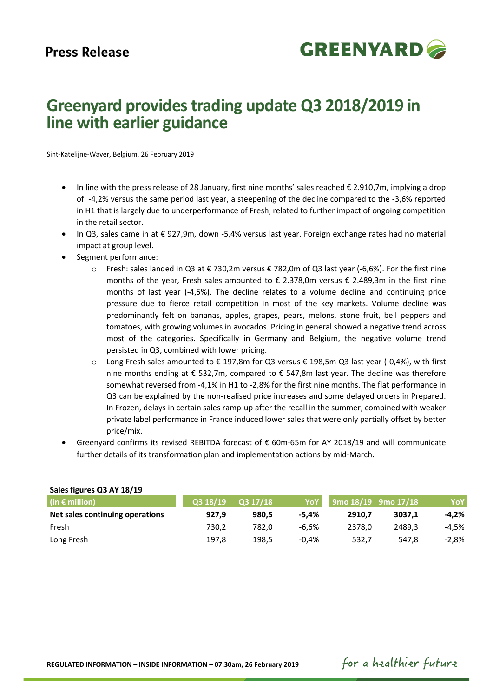

# **Greenyard provides trading update Q3 2018/2019 in line with earlier guidance**

Sint-Katelijne-Waver, Belgium, 26 February 2019

- In line with the press release of 28 January, first nine months' sales reached € 2.910,7m, implying a drop of -4,2% versus the same period last year, a steepening of the decline compared to the -3,6% reported in H1 that is largely due to underperformance of Fresh, related to further impact of ongoing competition in the retail sector.
- In Q3, sales came in at € 927,9m, down -5,4% versus last year. Foreign exchange rates had no material impact at group level.
- Segment performance:
	- o Fresh: sales landed in Q3 at € 730,2m versus € 782,0m of Q3 last year (-6,6%). For the first nine months of the year, Fresh sales amounted to € 2.378,0m versus € 2.489,3m in the first nine months of last year (-4,5%). The decline relates to a volume decline and continuing price pressure due to fierce retail competition in most of the key markets. Volume decline was predominantly felt on bananas, apples, grapes, pears, melons, stone fruit, bell peppers and tomatoes, with growing volumes in avocados. Pricing in general showed a negative trend across most of the categories. Specifically in Germany and Belgium, the negative volume trend persisted in Q3, combined with lower pricing.
	- Long Fresh sales amounted to € 197,8m for Q3 versus  $€$  198,5m Q3 last year (-0,4%), with first nine months ending at € 532,7m, compared to € 547,8m last year. The decline was therefore somewhat reversed from -4,1% in H1 to -2,8% for the first nine months. The flat performance in Q3 can be explained by the non-realised price increases and some delayed orders in Prepared. In Frozen, delays in certain sales ramp-up after the recall in the summer, combined with weaker private label performance in France induced lower sales that were only partially offset by better price/mix.
- Greenyard confirms its revised REBITDA forecast of € 60m-65m for AY 2018/19 and will communicate further details of its transformation plan and implementation actions by mid-March.

| 3012315812340                   |          |          |            |                     |        |            |
|---------------------------------|----------|----------|------------|---------------------|--------|------------|
| $\sin \epsilon$ million)        | Q3 18/19 | Q3 17/18 | <b>YoY</b> | 9mo 18/19 9mo 17/18 |        | <b>YoY</b> |
| Net sales continuing operations | 927.9    | 980.5    | $-5.4%$    | 2910.7              | 3037.1 | $-4,2%$    |
| Fresh                           | 730.2    | 782.0    | -6.6%      | 2378.0              | 2489.3 | $-4.5%$    |
| Long Fresh                      | 197.8    | 198.5    | $-0.4%$    | 532.7               | 547.8  | $-2,8%$    |

## **Sales figures Q3 AY 18/19**